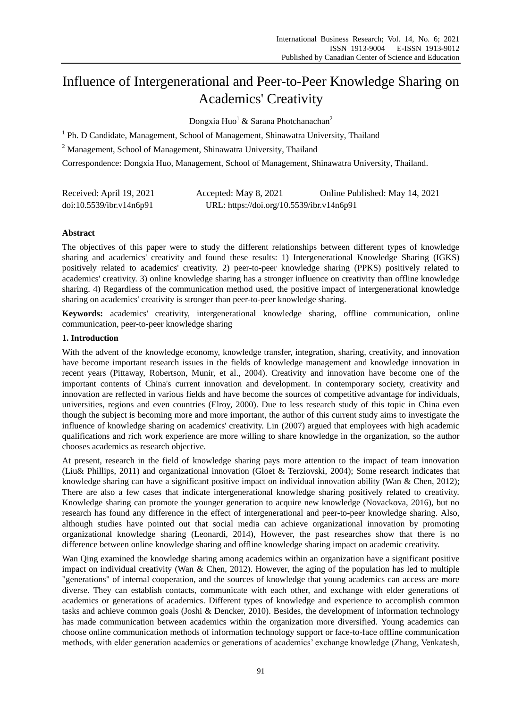# Influence of Intergenerational and Peer-to-Peer Knowledge Sharing on Academics' Creativity

Dongxia Huo<sup>1</sup> & Sarana Photchanachan<sup>2</sup>

<sup>1</sup> Ph. D Candidate, Management, School of Management, Shinawatra University, Thailand

<sup>2</sup> Management, School of Management, Shinawatra University, Thailand

Correspondence: Dongxia Huo, Management, School of Management, Shinawatra University, Thailand.

| Received: April 19, 2021 | Accepted: May 8, 2021                     | Online Published: May 14, 2021 |
|--------------------------|-------------------------------------------|--------------------------------|
| doi:10.5539/ibr.v14n6p91 | URL: https://doi.org/10.5539/ibr.v14n6p91 |                                |

# **Abstract**

The objectives of this paper were to study the different relationships between different types of knowledge sharing and academics' creativity and found these results: 1) Intergenerational Knowledge Sharing (IGKS) positively related to academics' creativity. 2) peer-to-peer knowledge sharing (PPKS) positively related to academics' creativity. 3) online knowledge sharing has a stronger influence on creativity than offline knowledge sharing. 4) Regardless of the communication method used, the positive impact of intergenerational knowledge sharing on academics' creativity is stronger than peer-to-peer knowledge sharing.

**Keywords:** academics' creativity, intergenerational knowledge sharing, offline communication, online communication, peer-to-peer knowledge sharing

#### **1. Introduction**

With the advent of the knowledge economy, knowledge transfer, integration, sharing, creativity, and innovation have become important research issues in the fields of knowledge management and knowledge innovation in recent years (Pittaway, Robertson, Munir, et al., 2004). Creativity and innovation have become one of the important contents of China's current innovation and development. In contemporary society, creativity and innovation are reflected in various fields and have become the sources of competitive advantage for individuals, universities, regions and even countries (Elroy, 2000). Due to less research study of this topic in China even though the subject is becoming more and more important, the author of this current study aims to investigate the influence of knowledge sharing on academics' creativity. Lin (2007) argued that employees with high academic qualifications and rich work experience are more willing to share knowledge in the organization, so the author chooses academics as research objective.

At present, research in the field of knowledge sharing pays more attention to the impact of team innovation (Liu& Phillips, 2011) and organizational innovation (Gloet & Terziovski, 2004); Some research indicates that knowledge sharing can have a significant positive impact on individual innovation ability (Wan & Chen, 2012); There are also a few cases that indicate intergenerational knowledge sharing positively related to creativity. Knowledge sharing can promote the younger generation to acquire new knowledge (Novackova, 2016), but no research has found any difference in the effect of intergenerational and peer-to-peer knowledge sharing. Also, although studies have pointed out that social media can achieve organizational innovation by promoting organizational knowledge sharing (Leonardi, 2014), However, the past researches show that there is no difference between online knowledge sharing and offline knowledge sharing impact on academic creativity.

Wan Qing examined the knowledge sharing among academics within an organization have a significant positive impact on individual creativity (Wan & Chen, 2012). However, the aging of the population has led to multiple "generations" of internal cooperation, and the sources of knowledge that young academics can access are more diverse. They can establish contacts, communicate with each other, and exchange with elder generations of academics or generations of academics. Different types of knowledge and experience to accomplish common tasks and achieve common goals (Joshi & Dencker, 2010). Besides, the development of information technology has made communication between academics within the organization more diversified. Young academics can choose online communication methods of information technology support or face-to-face offline communication methods, with elder generation academics or generations of academics' exchange knowledge (Zhang, Venkatesh,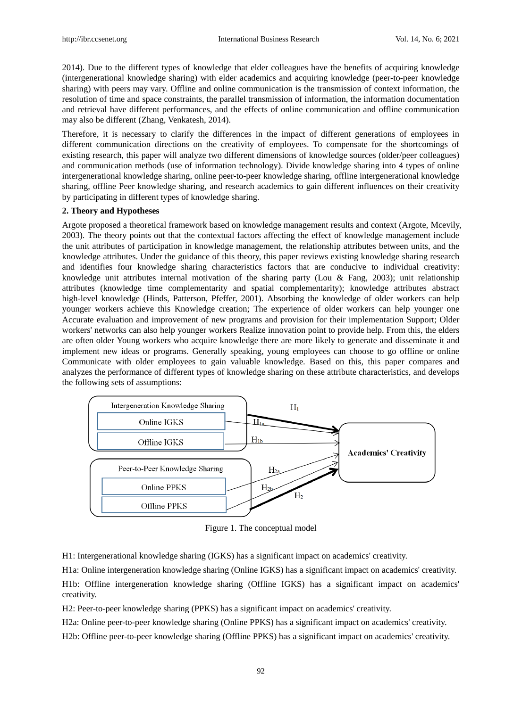2014). Due to the different types of knowledge that elder colleagues have the benefits of acquiring knowledge (intergenerational knowledge sharing) with elder academics and acquiring knowledge (peer-to-peer knowledge sharing) with peers may vary. Offline and online communication is the transmission of context information, the resolution of time and space constraints, the parallel transmission of information, the information documentation and retrieval have different performances, and the effects of online communication and offline communication may also be different (Zhang, Venkatesh, 2014).

Therefore, it is necessary to clarify the differences in the impact of different generations of employees in different communication directions on the creativity of employees. To compensate for the shortcomings of existing research, this paper will analyze two different dimensions of knowledge sources (older/peer colleagues) and communication methods (use of information technology). Divide knowledge sharing into 4 types of online intergenerational knowledge sharing, online peer-to-peer knowledge sharing, offline intergenerational knowledge sharing, offline Peer knowledge sharing, and research academics to gain different influences on their creativity by participating in different types of knowledge sharing.

#### **2. Theory and Hypotheses**

Argote proposed a theoretical framework based on knowledge management results and context (Argote, Mcevily, 2003). The theory points out that the contextual factors affecting the effect of knowledge management include the unit attributes of participation in knowledge management, the relationship attributes between units, and the knowledge attributes. Under the guidance of this theory, this paper reviews existing knowledge sharing research and identifies four knowledge sharing characteristics factors that are conducive to individual creativity: knowledge unit attributes internal motivation of the sharing party (Lou & Fang, 2003); unit relationship attributes (knowledge time complementarity and spatial complementarity); knowledge attributes abstract high-level knowledge (Hinds, Patterson, Pfeffer, 2001). Absorbing the knowledge of older workers can help younger workers achieve this Knowledge creation; The experience of older workers can help younger one Accurate evaluation and improvement of new programs and provision for their implementation Support; Older workers' networks can also help younger workers Realize innovation point to provide help. From this, the elders are often older Young workers who acquire knowledge there are more likely to generate and disseminate it and implement new ideas or programs. Generally speaking, young employees can choose to go offline or online Communicate with older employees to gain valuable knowledge. Based on this, this paper compares and analyzes the performance of different types of knowledge sharing on these attribute characteristics, and develops the following sets of assumptions:



Figure 1. The conceptual model

H1: Intergenerational knowledge sharing (IGKS) has a significant impact on academics' creativity.

H1a: Online intergeneration knowledge sharing (Online IGKS) has a significant impact on academics' creativity. H1b: Offline intergeneration knowledge sharing (Offline IGKS) has a significant impact on academics' creativity.

H2: Peer-to-peer knowledge sharing (PPKS) has a significant impact on academics' creativity.

H2a: Online peer-to-peer knowledge sharing (Online PPKS) has a significant impact on academics' creativity. H2b: Offline peer-to-peer knowledge sharing (Offline PPKS) has a significant impact on academics' creativity.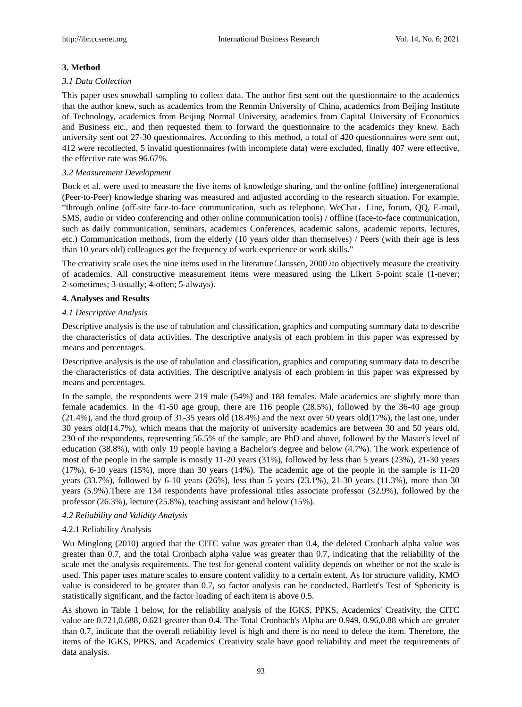# **3. Method**

#### *3.1 Data Collection*

This paper uses snowball sampling to collect data. The author first sent out the questionnaire to the academics that the author knew, such as academics from the Renmin University of China, academics from Beijing Institute of Technology, academics from Beijing Normal University, academics from Capital University of Economics and Business etc., and then requested them to forward the questionnaire to the academics they knew. Each university sent out 27-30 questionnaires. According to this method, a total of 420 questionnaires were sent out, 412 were recollected, 5 invalid questionnaires (with incomplete data) were excluded, finally 407 were effective, the effective rate was 96.67%.

# *3.2 Measurement Development*

Bock et al. were used to measure the five items of knowledge sharing, and the online (offline) intergenerational (Peer-to-Peer) knowledge sharing was measured and adjusted according to the research situation. For example, "through online (off-site face-to-face communication, such as telephone, WeChat, Line, forum, QQ, E-mail, SMS, audio or video conferencing and other online communication tools) / offline (face-to-face communication, such as daily communication, seminars, academics Conferences, academic salons, academic reports, lectures, etc.) Communication methods, from the elderly (10 years older than themselves) / Peers (with their age is less than 10 years old) colleagues get the frequency of work experience or work skills."

The creativity scale uses the nine items used in the literature (Janssen,  $2000$ ) to objectively measure the creativity of academics. All constructive measurement items were measured using the Likert 5-point scale (1-never; 2-sometimes; 3-usually; 4-often; 5-always).

# **4. Analyses and Results**

# *4.1 Descriptive Analysis*

Descriptive analysis is the use of tabulation and classification, graphics and computing summary data to describe the characteristics of data activities. The descriptive analysis of each problem in this paper was expressed by means and percentages.

Descriptive analysis is the use of tabulation and classification, graphics and computing summary data to describe the characteristics of data activities. The descriptive analysis of each problem in this paper was expressed by means and percentages.

In the sample, the respondents were 219 male (54%) and 188 females. Male academics are slightly more than female academics. In the 41-50 age group, there are 116 people (28.5%), followed by the 36-40 age group (21.4%), and the third group of 31-35 years old (18.4%) and the next over 50 years old(17%), the last one, under 30 years old(14.7%), which means that the majority of university academics are between 30 and 50 years old. 230 of the respondents, representing 56.5% of the sample, are PhD and above, followed by the Master's level of education (38.8%), with only 19 people having a Bachelor's degree and below (4.7%). The work experience of most of the people in the sample is mostly 11-20 years (31%), followed by less than 5 years (23%), 21-30 years (17%), 6-10 years (15%), more than 30 years (14%). The academic age of the people in the sample is 11-20 years (33.7%), followed by 6-10 years (26%), less than 5 years (23.1%), 21-30 years (11.3%), more than 30 years (5.9%).There are 134 respondents have professional titles associate professor (32.9%), followed by the professor (26.3%), lecture (25.8%), teaching assistant and below (15%).

# *4.2 Reliability and Validity Analysis*

# 4.2.1 Reliability Analysis

Wu Minglong (2010) argued that the CITC value was greater than 0.4, the deleted Cronbach alpha value was greater than 0.7, and the total Cronbach alpha value was greater than 0.7, indicating that the reliability of the scale met the analysis requirements. The test for general content validity depends on whether or not the scale is used. This paper uses mature scales to ensure content validity to a certain extent. As for structure validity, KMO value is considered to be greater than 0.7, so factor analysis can be conducted. Bartlett's Test of Sphericity is statistically significant, and the factor loading of each item is above 0.5.

As shown in Table 1 below, for the reliability analysis of the IGKS, PPKS, Academics' Creativity, the CITC value are 0.721,0.688, 0.621 greater than 0.4. The Total Cronbach's Alpha are 0.949, 0.96,0.88 which are greater than 0.7, indicate that the overall reliability level is high and there is no need to delete the item. Therefore, the items of the IGKS, PPKS, and Academics' Creativity scale have good reliability and meet the requirements of data analysis.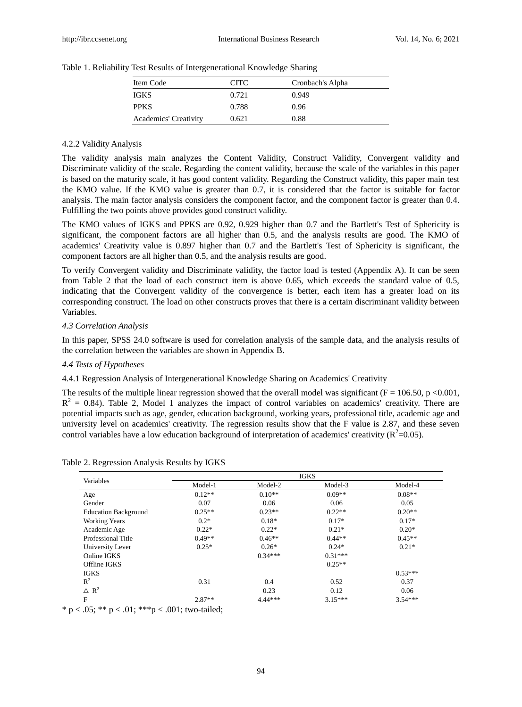| Item Code                    | CITC. | Cronbach's Alpha |  |
|------------------------------|-------|------------------|--|
| <b>IGKS</b>                  | 0.721 | 0.949            |  |
| <b>PPKS</b>                  | 0.788 | 0.96             |  |
| <b>Academics' Creativity</b> | 0.621 | 0.88             |  |

Table 1. Reliability Test Results of Intergenerational Knowledge Sharing

# 4.2.2 Validity Analysis

The validity analysis main analyzes the Content Validity, Construct Validity, Convergent validity and Discriminate validity of the scale. Regarding the content validity, because the scale of the variables in this paper is based on the maturity scale, it has good content validity. Regarding the Construct validity, this paper main test the KMO value. If the KMO value is greater than 0.7, it is considered that the factor is suitable for factor analysis. The main factor analysis considers the component factor, and the component factor is greater than 0.4. Fulfilling the two points above provides good construct validity.

The KMO values of IGKS and PPKS are 0.92, 0.929 higher than 0.7 and the Bartlett's Test of Sphericity is significant, the component factors are all higher than 0.5, and the analysis results are good. The KMO of academics' Creativity value is 0.897 higher than 0.7 and the Bartlett's Test of Sphericity is significant, the component factors are all higher than 0.5, and the analysis results are good.

To verify Convergent validity and Discriminate validity, the factor load is tested (Appendix A). It can be seen from Table 2 that the load of each construct item is above 0.65, which exceeds the standard value of 0.5, indicating that the Convergent validity of the convergence is better, each item has a greater load on its corresponding construct. The load on other constructs proves that there is a certain discriminant validity between Variables.

# *4.3 Correlation Analysis*

In this paper, SPSS 24.0 software is used for correlation analysis of the sample data, and the analysis results of the correlation between the variables are shown in Appendix B.

# *4.4 Tests of Hypotheses*

4.4.1 Regression Analysis of Intergenerational Knowledge Sharing on Academics' Creativity

The results of the multiple linear regression showed that the overall model was significant ( $F = 106.50$ , p <0.001,  $R^2 = 0.84$ ). Table 2, Model 1 analyzes the impact of control variables on academics' creativity. There are potential impacts such as age, gender, education background, working years, professional title, academic age and university level on academics' creativity. The regression results show that the F value is 2.87, and these seven control variables have a low education background of interpretation of academics' creativity ( $R^2$ =0.05).

|                             | <b>IGKS</b> |           |           |           |  |  |  |  |
|-----------------------------|-------------|-----------|-----------|-----------|--|--|--|--|
| Variables                   | Model-1     | Model-2   | Model-3   | Model-4   |  |  |  |  |
| Age                         | $0.12**$    | $0.10**$  | $0.09**$  | $0.08**$  |  |  |  |  |
| Gender                      | 0.07        | 0.06      | 0.06      | 0.05      |  |  |  |  |
| <b>Education Background</b> | $0.25**$    | $0.23**$  | $0.22**$  | $0.20**$  |  |  |  |  |
| <b>Working Years</b>        | $0.2*$      | $0.18*$   | $0.17*$   | $0.17*$   |  |  |  |  |
| Academic Age                | $0.22*$     | $0.22*$   | $0.21*$   | $0.20*$   |  |  |  |  |
| Professional Title          | $0.49**$    | $0.46**$  | $0.44**$  | $0.45**$  |  |  |  |  |
| University Lever            | $0.25*$     | $0.26*$   | $0.24*$   | $0.21*$   |  |  |  |  |
| Online IGKS                 |             | $0.34***$ | $0.31***$ |           |  |  |  |  |
| Offline IGKS                |             |           | $0.25**$  |           |  |  |  |  |
| <b>IGKS</b>                 |             |           |           | $0.53***$ |  |  |  |  |
| $\mathbb{R}^2$              | 0.31        | 0.4       | 0.52      | 0.37      |  |  |  |  |
| $\triangle R^2$             |             | 0.23      | 0.12      | 0.06      |  |  |  |  |
| $\mathbf F$                 | $2.87**$    | $4.44***$ | $3.15***$ | $3.54***$ |  |  |  |  |

Table 2. Regression Analysis Results by IGKS

\*  $p < .05$ ; \*\*  $p < .01$ ; \*\*\* $p < .001$ ; two-tailed;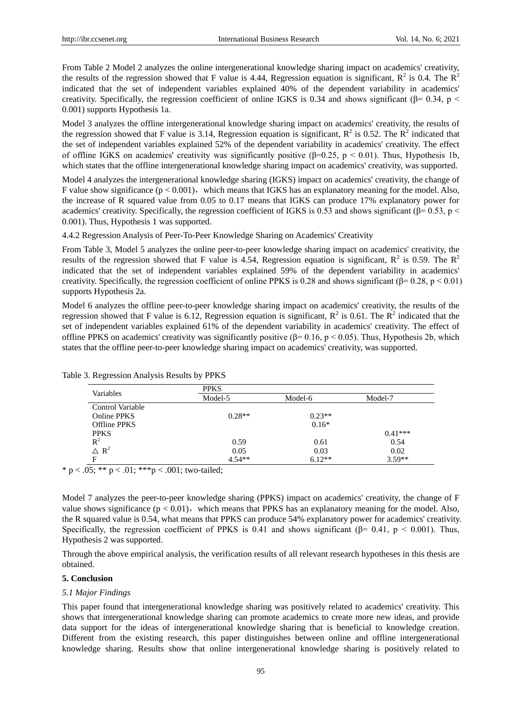From Table 2 Model 2 analyzes the online intergenerational knowledge sharing impact on academics' creativity, the results of the regression showed that F value is 4.44, Regression equation is significant,  $R^2$  is 0.4. The  $R^2$ indicated that the set of independent variables explained 40% of the dependent variability in academics' creativity. Specifically, the regression coefficient of online IGKS is 0.34 and shows significant ( $\beta$ = 0.34, p < 0.001) supports Hypothesis 1a.

Model 3 analyzes the offline intergenerational knowledge sharing impact on academics' creativity, the results of the regression showed that F value is 3.14, Regression equation is significant,  $R^2$  is 0.52. The  $R^2$  indicated that the set of independent variables explained 52% of the dependent variability in academics' creativity. The effect of offline IGKS on academics' creativity was significantly positive  $(\beta=0.25, p \le 0.01)$ . Thus, Hypothesis 1b, which states that the offline intergenerational knowledge sharing impact on academics' creativity, was supported.

Model 4 analyzes the intergenerational knowledge sharing (IGKS) impact on academics' creativity, the change of F value show significance  $(p < 0.001)$ , which means that IGKS has an explanatory meaning for the model. Also, the increase of R squared value from 0.05 to 0.17 means that IGKS can produce 17% explanatory power for academics' creativity. Specifically, the regression coefficient of IGKS is 0.53 and shows significant ( $\beta$ = 0.53, p < 0.001). Thus, Hypothesis 1 was supported.

4.4.2 Regression Analysis of Peer-To-Peer Knowledge Sharing on Academics' Creativity

From Table 3, Model 5 analyzes the online peer-to-peer knowledge sharing impact on academics' creativity, the results of the regression showed that F value is 4.54, Regression equation is significant,  $R^2$  is 0.59. The  $R^2$ indicated that the set of independent variables explained 59% of the dependent variability in academics' creativity. Specifically, the regression coefficient of online PPKS is 0.28 and shows significant ( $\beta$ = 0.28, p < 0.01) supports Hypothesis 2a.

Model 6 analyzes the offline peer-to-peer knowledge sharing impact on academics' creativity, the results of the regression showed that F value is 6.12, Regression equation is significant,  $R^2$  is 0.61. The  $R^2$  indicated that the set of independent variables explained 61% of the dependent variability in academics' creativity. The effect of offline PPKS on academics' creativity was significantly positive (β= 0.16,  $p < 0.05$ ). Thus, Hypothesis 2b, which states that the offline peer-to-peer knowledge sharing impact on academics' creativity, was supported.

|                     | <b>PPKS</b> |          |           |  |  |  |  |  |  |
|---------------------|-------------|----------|-----------|--|--|--|--|--|--|
| Variables           | Model-5     | Model-6  | Model-7   |  |  |  |  |  |  |
| Control Variable    |             |          |           |  |  |  |  |  |  |
| <b>Online PPKS</b>  | $0.28**$    | $0.23**$ |           |  |  |  |  |  |  |
| <b>Offline PPKS</b> |             | $0.16*$  |           |  |  |  |  |  |  |
| <b>PPKS</b>         |             |          | $0.41***$ |  |  |  |  |  |  |
| $R^2$               | 0.59        | 0.61     | 0.54      |  |  |  |  |  |  |
| $\triangle R^2$     | 0.05        | 0.03     | 0.02      |  |  |  |  |  |  |
| F                   | $4.54**$    | $6.12**$ | $3.59**$  |  |  |  |  |  |  |

Table 3. Regression Analysis Results by PPKS

\* p < .05; \*\* p < .01; \*\*\* p < .001; two-tailed;

Model 7 analyzes the peer-to-peer knowledge sharing (PPKS) impact on academics' creativity, the change of F value shows significance  $(p < 0.01)$ , which means that PPKS has an explanatory meaning for the model. Also, the R squared value is 0.54, what means that PPKS can produce 54% explanatory power for academics' creativity. Specifically, the regression coefficient of PPKS is 0.41 and shows significant ( $\beta$ = 0.41, p < 0.001). Thus, Hypothesis 2 was supported.

Through the above empirical analysis, the verification results of all relevant research hypotheses in this thesis are obtained.

#### **5. Conclusion**

#### *5.1 Major Findings*

This paper found that intergenerational knowledge sharing was positively related to academics' creativity. This shows that intergenerational knowledge sharing can promote academics to create more new ideas, and provide data support for the ideas of intergenerational knowledge sharing that is beneficial to knowledge creation. Different from the existing research, this paper distinguishes between online and offline intergenerational knowledge sharing. Results show that online intergenerational knowledge sharing is positively related to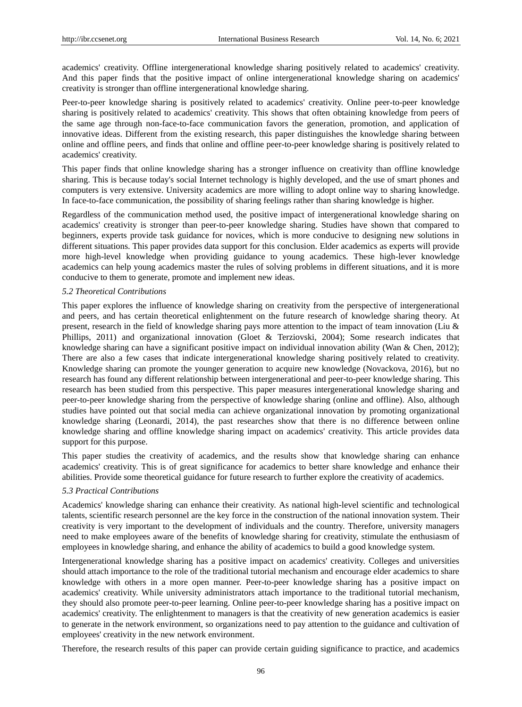academics' creativity. Offline intergenerational knowledge sharing positively related to academics' creativity. And this paper finds that the positive impact of online intergenerational knowledge sharing on academics' creativity is stronger than offline intergenerational knowledge sharing.

Peer-to-peer knowledge sharing is positively related to academics' creativity. Online peer-to-peer knowledge sharing is positively related to academics' creativity. This shows that often obtaining knowledge from peers of the same age through non-face-to-face communication favors the generation, promotion, and application of innovative ideas. Different from the existing research, this paper distinguishes the knowledge sharing between online and offline peers, and finds that online and offline peer-to-peer knowledge sharing is positively related to academics' creativity.

This paper finds that online knowledge sharing has a stronger influence on creativity than offline knowledge sharing. This is because today's social Internet technology is highly developed, and the use of smart phones and computers is very extensive. University academics are more willing to adopt online way to sharing knowledge. In face-to-face communication, the possibility of sharing feelings rather than sharing knowledge is higher.

Regardless of the communication method used, the positive impact of intergenerational knowledge sharing on academics' creativity is stronger than peer-to-peer knowledge sharing. Studies have shown that compared to beginners, experts provide task guidance for novices, which is more conducive to designing new solutions in different situations. This paper provides data support for this conclusion. Elder academics as experts will provide more high-level knowledge when providing guidance to young academics. These high-lever knowledge academics can help young academics master the rules of solving problems in different situations, and it is more conducive to them to generate, promote and implement new ideas.

#### *5.2 Theoretical Contributions*

This paper explores the influence of knowledge sharing on creativity from the perspective of intergenerational and peers, and has certain theoretical enlightenment on the future research of knowledge sharing theory. At present, research in the field of knowledge sharing pays more attention to the impact of team innovation (Liu & Phillips, 2011) and organizational innovation (Gloet & Terziovski, 2004); Some research indicates that knowledge sharing can have a significant positive impact on individual innovation ability (Wan & Chen, 2012); There are also a few cases that indicate intergenerational knowledge sharing positively related to creativity. Knowledge sharing can promote the younger generation to acquire new knowledge (Novackova, 2016), but no research has found any different relationship between intergenerational and peer-to-peer knowledge sharing. This research has been studied from this perspective. This paper measures intergenerational knowledge sharing and peer-to-peer knowledge sharing from the perspective of knowledge sharing (online and offline). Also, although studies have pointed out that social media can achieve organizational innovation by promoting organizational knowledge sharing (Leonardi, 2014), the past researches show that there is no difference between online knowledge sharing and offline knowledge sharing impact on academics' creativity. This article provides data support for this purpose.

This paper studies the creativity of academics, and the results show that knowledge sharing can enhance academics' creativity. This is of great significance for academics to better share knowledge and enhance their abilities. Provide some theoretical guidance for future research to further explore the creativity of academics.

# *5.3 Practical Contributions*

Academics' knowledge sharing can enhance their creativity. As national high-level scientific and technological talents, scientific research personnel are the key force in the construction of the national innovation system. Their creativity is very important to the development of individuals and the country. Therefore, university managers need to make employees aware of the benefits of knowledge sharing for creativity, stimulate the enthusiasm of employees in knowledge sharing, and enhance the ability of academics to build a good knowledge system.

Intergenerational knowledge sharing has a positive impact on academics' creativity. Colleges and universities should attach importance to the role of the traditional tutorial mechanism and encourage elder academics to share knowledge with others in a more open manner. Peer-to-peer knowledge sharing has a positive impact on academics' creativity. While university administrators attach importance to the traditional tutorial mechanism, they should also promote peer-to-peer learning. Online peer-to-peer knowledge sharing has a positive impact on academics' creativity. The enlightenment to managers is that the creativity of new generation academics is easier to generate in the network environment, so organizations need to pay attention to the guidance and cultivation of employees' creativity in the new network environment.

Therefore, the research results of this paper can provide certain guiding significance to practice, and academics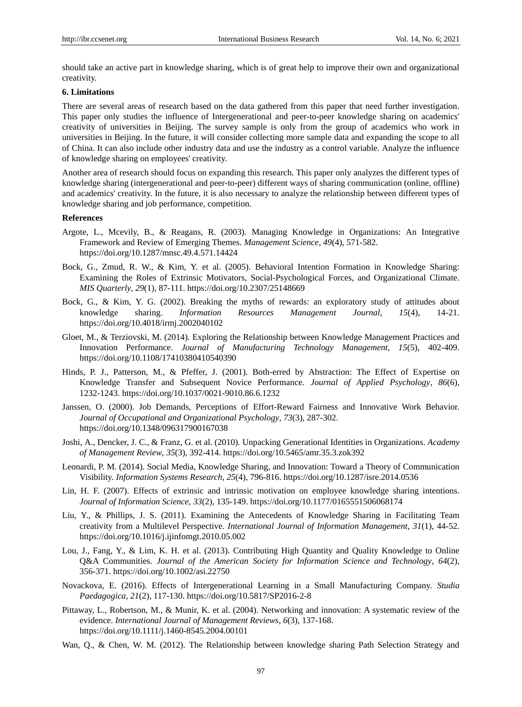should take an active part in knowledge sharing, which is of great help to improve their own and organizational creativity.

# **6. Limitations**

There are several areas of research based on the data gathered from this paper that need further investigation. This paper only studies the influence of Intergenerational and peer-to-peer knowledge sharing on academics' creativity of universities in Beijing. The survey sample is only from the group of academics who work in universities in Beijing. In the future, it will consider collecting more sample data and expanding the scope to all of China. It can also include other industry data and use the industry as a control variable. Analyze the influence of knowledge sharing on employees' creativity.

Another area of research should focus on expanding this research. This paper only analyzes the different types of knowledge sharing (intergenerational and peer-to-peer) different ways of sharing communication (online, offline) and academics' creativity. In the future, it is also necessary to analyze the relationship between different types of knowledge sharing and job performance, competition.

#### **References**

- Argote, L., Mcevily, B., & Reagans, R. (2003). Managing Knowledge in Organizations: An Integrative Framework and Review of Emerging Themes. *Management Science*, *49*(4), 571-582. https://doi.org/10.1287/mnsc.49.4.571.14424
- Bock, G., Zmud, R. W., & Kim, Y. et al. (2005). Behavioral Intention Formation in Knowledge Sharing: Examining the Roles of Extrinsic Motivators, Social-Psychological Forces, and Organizational Climate. *MIS Quarterly*, *29*(1), 87-111. https://doi.org/10.2307/25148669
- Bock, G., & Kim, Y. G. (2002). Breaking the myths of rewards: an exploratory study of attitudes about knowledge sharing. *Information Resources Management Journal*, *15*(4), 14-21. https://doi.org/10.4018/irmj.2002040102
- Gloet, M., & Terziovski, M. (2014). Exploring the Relationship between Knowledge Management Practices and Innovation Performance. *Journal of Manufacturing Technology Management*, *15*(5), 402-409. https://doi.org/10.1108/17410380410540390
- Hinds, P. J., Patterson, M., & Pfeffer, J. (2001). Both-erred by Abstraction: The Effect of Expertise on Knowledge Transfer and Subsequent Novice Performance. *Journal of Applied Psychology*, *86*(6), 1232-1243. [https://doi.org/10.1037/0021-9010.86.6.1232](https://psycnet.apa.org/doi/10.1037/0021-9010.86.6.1232)
- Janssen, O. (2000). Job Demands, Perceptions of Effort-Reward Fairness and Innovative Work Behavior. *Journal of Occupational and Organizational Psychology*, *73*(3), 287-302. https://doi.org/10.1348/096317900167038
- Joshi, A., Dencker, J. C., & Franz, G. et al. (2010). Unpacking Generational Identities in Organizations. *Academy of Management Review*, *35*(3), 392-414. https://doi.org/10.5465/amr.35.3.zok392
- Leonardi, P. M. (2014). Social Media, Knowledge Sharing, and Innovation: Toward a Theory of Communication Visibility. *Information Systems Research*, *25*(4), 796-816. https://doi.org/10.1287/isre.2014.0536
- Lin, H. F. (2007). Effects of extrinsic and intrinsic motivation on employee knowledge sharing intentions. *Journal of Information Science*, *33*(2), 135-149. https://doi.org/10.1177/0165551506068174
- Liu, Y., & Phillips, J. S. (2011). Examining the Antecedents of Knowledge Sharing in Facilitating Team creativity from a Multilevel Perspective. *International Journal of Information Management*, *31*(1), 44-52. https://doi.org/10.1016/j.ijinfomgt.2010.05.002
- Lou, J., Fang, Y., & Lim, K. H. et al. (2013). Contributing High Quantity and Quality Knowledge to Online Q&A Communities. *Journal of the American Society for Information Science and Technology*, *64*(2), 356-371. https://doi.org/10.1002/asi.22750
- Novackova, E. (2016). Effects of Intergenerational Learning in a Small Manufacturing Company. *Studia Paedagogica*, *21*(2), 117-130. https://doi.org/10.5817/SP2016-2-8
- Pittaway, L., Robertson, M., & Munir, K. et al. (2004). Networking and innovation: A systematic review of the evidence. *International Journal of Management Reviews*, *6*(3), 137-168. https://doi.org/10.1111/j.1460-8545.2004.00101
- Wan, Q., & Chen, W. M. (2012). The Relationship between knowledge sharing Path Selection Strategy and